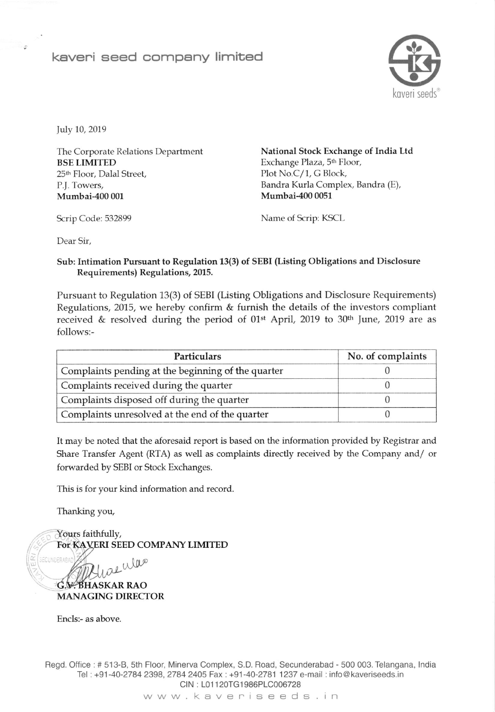## kaveri seed company limited



July 10, 2019

The Corporate Relations Department BSE LIMITED 25<sup>th</sup> Floor, Dalal Street, P.J. Towers, Mumbai-400 001

National Stock Exchange of India Ltd Exchange Plaza, 5th Floor, Plot No.C/1, G Block, Bandra Kurla Complex, Bandra (E), Mumbai-400 0051

Scrip Code: 532899 Name of Scrip: KSCL

Dear Sir,

## Sub: Intimation Pursuant to Regulation 13(3) of SEBI (Listing Obligations and Disclosure Requirements) Regulations, 2015.

Pursuant to Regulation 13(3) of SEBI (Listing Obligations and Disclosure Requirements) Regulations, 2015, we hereby confirm & furnish the details of the investors compliant received & resolved during the period of  $01st$  April, 2019 to 30<sup>th</sup> June, 2019 are as follows:-

| <b>Particulars</b>                                 | No. of complaints |  |
|----------------------------------------------------|-------------------|--|
| Complaints pending at the beginning of the quarter |                   |  |
| Complaints received during the quarter             |                   |  |
| Complaints disposed off during the quarter         |                   |  |
| Complaints unresolved at the end of the quarter    |                   |  |

It may be noted that the aforesaid report is based on the information provided by Registrar and Share Transfer Agent (RTA) as well as complaints directly received by the Company and/ or forwarded by SEBI or Stock Exchanges.

This is for your kind information and record

Thanking you,

Yours faithfully, For KAVERI SEED COMPANY LIMITED

INDERAR was

G.V. **BHASKAR RAO** MANAGING DIRECTOR

Encls:- as above.

Regd. Oflice : # 513-8, 5th Floor, Minerva Complex, S.D. Road, Secunderabad - 500 003. Telangana, lndia Tel: +91-40-2784 2398, 2784 2405 Fax: +91-40-2781 1237 e-mail: info@kaveriseeds.in CIN: L01120TG1986PLC006728